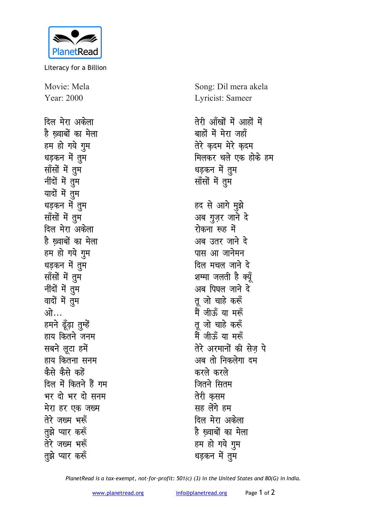

Literacy for a Billion

Movie: Mela Year: 2000

दिल मेरा अकेला है ख्वाबों का मेला हम हो गये गम धड़कन में तुम सॉंसों में तुम नींदों में तुम यादों में तुम धड़कन में तुम साँसों में तुम दिल मेरा अकेला है ख्वाबों का मेला हम हो गये गुम धड़कन में तुम सॉंसों में तुम नींदों में तुम वादों में तुम ओ… हमने ढूँढ़ा तुम्हें हाय कितने जनम सबने लूटा हमें हाय कितना सनम कैसे कैसे कहें दिल में कितने हैं गम भर दो भर दो सनम मेरा हर एक जख्म तेरे जख्म भरूँ तुझे प्यार करूँ तेरे जख्म भरूँ तुझे प्यार करूँ

Song: Dil mera akela Lyricist: Sameer

तेरी आँखों में आहों में बाहों में मेरा जहाँ तेरे कदम मेरे कदम मिलकर चले एक होके हम धड़कन में तुम सॉंसों में तुम

हद से आगे मुझे अब गुज़र जाने दे रोकना रूह में अब उतर जाने दे पास आ जानेमन दिल मचल जाने दे शम्मा जलती है क्यूँ अब पिघल जाने दे तू जो चाहे करूँ मैं जीऊँ या मरूँ तु जो चाहे करूँ मैं जीऊँ या मरूँ तेरे अरमानों की सेज पे अब तो निकलेगा दम करले करले जितने सितम तेरी कसम सह लेंगे हम दिल मेरा अकेला है ख्वाबों का मेला हम हो गये गुम धड़कन में तुम

PlanetRead is a tax-exempt, not-for-profit: 501(c) (3) in the United States and 80(G) in India.